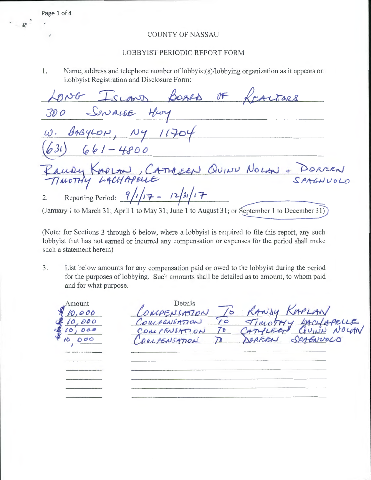## **COUNTY OF NASSAU**

## LOBBYIST PERIODIC REPORT FORM

Name, address and telephone number of lobbyist(s)/lobbying organization as it appears on 1. Lobbyist Registration and Disclosure Form:

BOARD OF Tars  $C_{L}$  $CNALGE$ *30 0*  $APOO$ QUINN NOLM + EEN  $LACHA$ Reporting Period:  $9/1/17 - 12/31/17$  $2.$ (January 1 to March 31; April 1 to May 31; June 1 to August 31; or September 1 to December 31)

(Note: for Sections 3 through 6 below, where a lobbyist is required to file this report, any such lobbyist that has not earned or incurred any compensation or expenses for the period shall make such a statement herein)

List below amounts for any compensation paid or owed to the lobbyist during the period  $3.$ for the purposes of lobbying. Such amounts shall be detailed as to amount, to whom paid and for what purpose.

Details Amount  $\sigma$ 000  $70<sup>K</sup>$  $10$ 000 000 70  $000$  $\overline{\prime}$ 

Page 1 of 4

뀿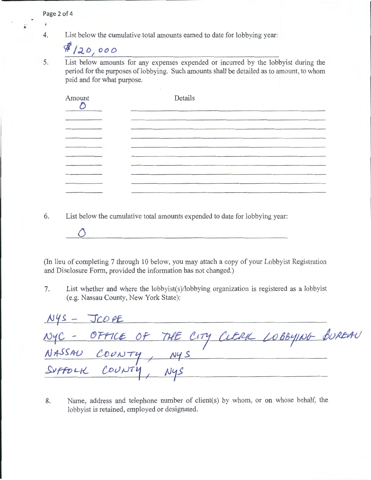4. List below the cumulative total amounts earned to date for lobbying year:

 $4120,000$ 

è

5. List below amounts for any expenses expended or incurred by the lobbyist during the period for the purposes of lobbying. Such amounts shall be detailed as to amount, to whom paid and for what purpose.

| Amount | Details |  |
|--------|---------|--|
|        |         |  |
|        |         |  |
|        |         |  |
|        |         |  |
| _____  |         |  |
|        |         |  |

6. List below the cumulative total amounts expended to date for lobbying year:



7. List whether and where the lobbyist(s)/lobbying organization is registered as a lobbyist (e.g. Nassau County, New York State):

| $NYS - JCOPE$                             |                                                |  |
|-------------------------------------------|------------------------------------------------|--|
|                                           | NYC - OFFICE OF THE CITY CUERK LOBBYING BUREAU |  |
|                                           |                                                |  |
| NASSAU COUNTY, NYS<br>SUFFOLK COUNTY, NYS |                                                |  |

8. Name, address and telephone number of client(s) by whom, or on whose behalf, the lobbyist is retained, employed or designated.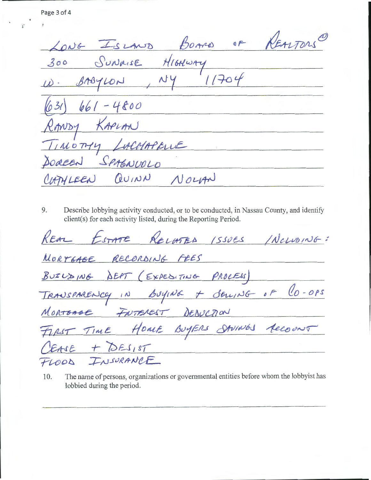BOARD OF REALTORS LONG ISLAND *3oo*   $11704$  $\overline{\phantom{a}}$  $BAGYLON$ (631  $661 - 4800$ RANDY KAPLAN TIMOTHY LACHAPELLE SOREEN SPAGNUOLO QUINN NOLAN HAHLEEN

9. Describe lobbying activity conducted, or to be conducted, in Nassau County, and identify client(s) for each activity listed, during the Reporting Period.

REAL ESTATE RELATED ISSUES INCLUDING: MORTGABE RECORDING FEES  $\frac{1}{10}$  Boying + Seming of lo-ops MORTOGEE FUTEREST DEDUCTION FIRST TIME HOME BUYERS SAVINGS ACCOUNT + DESIST EASE SURANCE TLOOD

10. The name of persons, organizations or governmental entities before whom the lobbyist has lobbied during the period.